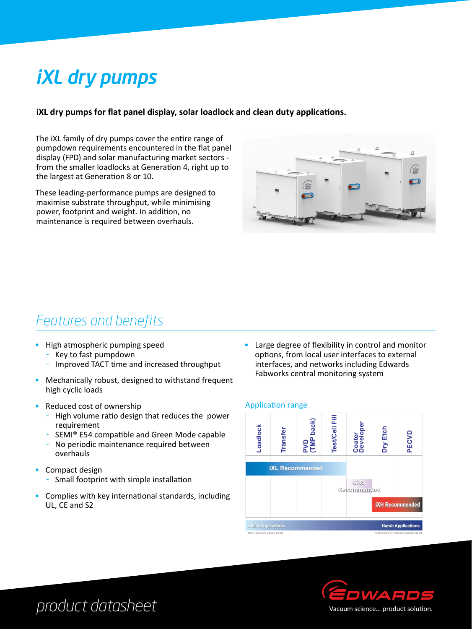# iXL dry pumps

### **iXL dry pumps for flat panel display, solar loadlock and clean duty applications.**

The iXL family of dry pumps cover the entire range of pumpdown requirements encountered in the flat panel display (FPD) and solar manufacturing market sectors from the smaller loadlocks at Generation 4, right up to the largest at Generation 8 or 10.

These leading-performance pumps are designed to maximise substrate throughput, while minimising power, footprint and weight. In addition, no maintenance is required between overhauls.



### *Features and benefits*

- High atmospheric pumping speed
	- Key to fast pumpdown
	- Improved TACT time and increased throughput
- Mechanically robust, designed to withstand frequent high cyclic loads
- Reduced cost of ownership
	- High volume ratio design that reduces the power requirement
	- SEMI® E54 compatible and Green Mode capable
	- No periodic maintenance required between overhauls
- Compact design
	- Small footprint with simple installation
- Complies with key international standards, including UL, CE and S2

• Large degree of flexibility in control and monitor options, from local user interfaces to external interfaces, and networks including Edwards Fabworks central monitoring system

#### Application range





### *product datasheet*